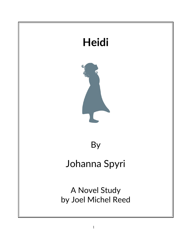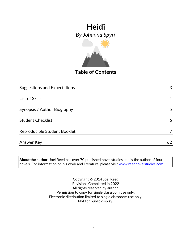

**Table of Contents**

| <b>Suggestions and Expectations</b> | 3              |
|-------------------------------------|----------------|
|                                     |                |
| List of Skills                      | 4              |
|                                     |                |
| Synopsis / Author Biography         | 5              |
|                                     |                |
| <b>Student Checklist</b>            | 6              |
| Reproducible Student Booklet        | $\overline{7}$ |
|                                     |                |
| Answer Key                          | 62             |

**About the author:** Joel Reed has over 70 published novel studies and is the author of four  $|$ novels. For information on his work and literature, please visit  $\overline{\text{www.reednovelstudies.com}}$ 

> Copyright © 2014 Joel Reed Revisions Completed in 2022 All rights reserved by author. Permission to copy for single classroom use only. Electronic distribution limited to single classroom use only. Not for public display.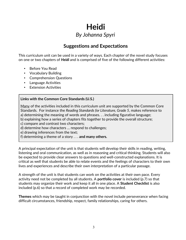### **Suggestions and Expectations**

This curriculum unit can be used in a variety of ways. Each chapter of the novel study focuses on one or two chapters of *Heidi* and is comprised of five of the following different activities:

- Before You Read
- Vocabulary Building
- Comprehension Questions
- Language Activities
- **Extension Activities**

#### **Links with the Common Core Standards (U.S.)**

Many of the activities included in this curriculum unit are supported by the Common Core Standards. For instance the *Reading Standards for Literature, Grade 5*, makes reference to a) determining the meaning of words and phrases. . . including figurative language;

b) explaining how a series of chapters fits together to provide the overall structure;

c) compare and contrast two characters;

d) determine how characters … respond to challenges;

e) drawing inferences from the text;

f) determining a theme of a story . . . **and many others.**

A principal expectation of the unit is that students will develop their skills in reading, writing, listening and oral communication, as well as in reasoning and critical thinking. Students will also be expected to provide clear answers to questions and well-constructed explanations. It is critical as well that students be able to relate events and the feelings of characters to their own lives and experiences and describe their own interpretation of a particular passage.

A strength of the unit is that students can work on the activities at their own pace. Every activity need not be completed by all students. A **portfolio cover** is included (p.7) so that students may organize their work and keep it all in one place. A **Student Checklist** is also included (p.6) so that a record of completed work may be recorded.

**Themes** which may be taught in conjunction with the novel include perseverance when facing difficult circumstances, friendship, respect, family relationships, caring for others.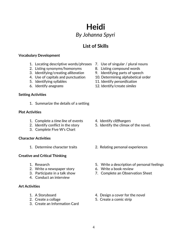## **List of Skills**

### **Vocabulary Development**

- 1. Locating descriptive words/phrases 7. Use of singular / plural nouns
- 2. Listing synonyms/homonyms 8. Listing compound words
- 3. Identifying/creating *alliteration* 9. Identifying parts of speech
- 
- 
- 

### **Setting Activities**

1. Summarize the details of a setting

### **Plot Activities**

- 1. Complete a *time line* of events 4. Identify *cliffhangers*
- 
- 3. Complete Five W's Chart

### **Character Activities**

### **Creative and Critical Thinking**

- 
- 2. Write a newspaper story 6. Write a book review
- 
- 4. Conduct an interview

### **Art Activities**

- 
- 
- 3. Create an Information Card
- 
- 
- 
- 4. Use of capitals and punctuation 10. Determining alphabetical order
- 5. Identifying syllables 11. Identify *personification*
- 6. Identify *anagrams* 12. Identify/create *similes*

- 
- 2. Identify conflict in the story 5. Identify the climax of the novel.
- 1. Determine character traits 2. Relating personal experiences
- 1. Research 5. Write a description of personal feelings
	-
- 3. Participate in a talk show 7. Complete an Observation Sheet
- 1. A Storyboard **1.** A Storyboard **1.** A Storyboard
- 2. Create a collage 5. Create a comic strip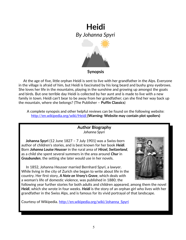

 At the age of five, little orphan Heidi is sent to live with her grandfather in the Alps. Everyone in the village is afraid of him, but Heidi is fascinated by his long beard and bushy grey eyebrows. She loves her life in the mountains, playing in the sunshine and growing up amongst the goats and birds. But one terrible day Heidi is collected by her aunt and is made to live with a new family in town. Heidi can't bear to be away from her grandfather; can she find her way back up the mountain, where she belongs? (The Publisher – **Puffin Classics**)

A complete synopsis and other helpful reviews can be found on the following website: <http://en.wikipedia.org/wiki/Heidi> **(Warning: Website may contain plot spoilers)**

### **Author Biography** *Johanna Spyri*

 **Johanna Spyri** (12 June 1827 – 7 July 1901) was a Swiss-born author of children's stories, and is best known for her book *Heidi*. Born *Johanna Louise Heusser* in the rural area of *Hirzel, Switzerland*, as a child she spent several summers in the area around *Chur* in *Graubunden*, the setting she later would use in her novels.

 In 1852, Johanna Heusser married Bernhard Spyri, a lawyer. While living in the city of Zurich she began to write about life in the country. Her first story, *A Note on Vrony's Grave*, which deals with a woman's life of domestic violence, was published in 1880; the



following year further stories for both adults and children appeared, among them the novel *Heidi*, which she wrote in four weeks. *Heidi* is the story of an orphan girl who lives with her grandfather in the Swiss Alps, and is famous for its vivid portrayal of that landscape.

Courtesy of Wikipedia. http://en.wikipedia.org/wiki/Johanna Spyri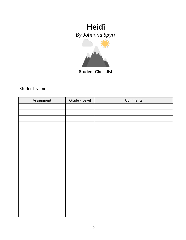

**Student Checklist**

Student Name

| Assignment | Grade / Level | Comments |
|------------|---------------|----------|
|            |               |          |
|            |               |          |
|            |               |          |
|            |               |          |
|            |               |          |
|            |               |          |
|            |               |          |
|            |               |          |
|            |               |          |
|            |               |          |
|            |               |          |
|            |               |          |
|            |               |          |
|            |               |          |
|            |               |          |
|            |               |          |
|            |               |          |
|            |               |          |
|            |               |          |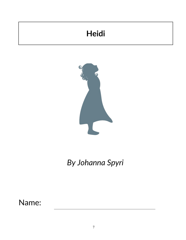# **Heidi**



*By Johanna Spyri*

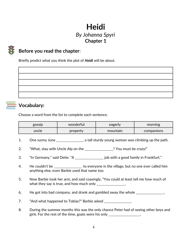# **Heidi** *By Johanna Spyri* **Chapter 1**



## **Before you read the chapter**:

Briefly predict what you think the plot of *Heidi* will be about.



### **Vocabulary:**

Choose a word from the list to complete each sentence.

| gossip | wonderful | eagerly  | morning    |
|--------|-----------|----------|------------|
| uncle  | property  | mountain | companions |

- 1. One sunny June \_\_\_\_\_\_\_\_\_\_\_\_\_\_\_\_, a tall sturdy young woman was climbing up the path.
- 2. "What, stay with Uncle Alp on the \_\_\_\_\_\_\_\_\_\_\_\_\_\_\_? You must be crazy!"
- 3. "In Germany," said Detie. "A \_\_\_\_\_\_\_\_\_\_\_\_\_\_\_\_\_ job with a good family in Frankfurt."
- 4. He couldn't be \_\_\_\_\_\_\_\_\_\_\_\_\_\_\_\_ to everyone in the village, but no one ever called him anything else, even Barbie used that name too.
- 5. Now Barbie took her arm, and said coaxingly, "You could at least tell me how much of what they say is true, and how much only \_\_\_\_\_\_\_\_\_\_\_\_\_\_\_\_\_.
- 6. He got into bad company, and drank and gambled away the whole  $\blacksquare$

7. "And what happened to Tobias?" Barbie asked \_\_\_\_\_\_\_\_\_\_\_\_\_\_\_.

8. During the summer months this was the only chance Peter had of seeing other boys and girls. For the rest of the time, goats were his only \_\_\_\_\_\_\_\_\_\_\_\_\_\_\_\_\_\_.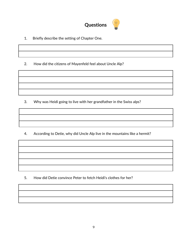

1. Briefly describe the setting of Chapter One.

2. How did the citizens of Mayenfeld feel about Uncle Alp?

3. Why was Heidi going to live with her grandfather in the Swiss alps?

4. According to Detie, why did Uncle Alp live in the mountains like a hermit?

5. How did Detie convince Peter to fetch Heidi's clothes for her?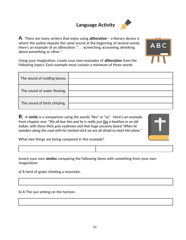## **Language Activity**



**A**. There are many writers that enjoy using **alliteration –** a literary device is where the author **r**epeats the same sound at the beginning of several words. Here's an example of an alliteration: ". . . **s**creeching, **s**creaming, **s**hrieking about **s**omething or other."

ABC

Using your imagination, create your own examples of **alliteration** from the following topics. Each example must contain a minimum of three words.

| The sound of rustling leaves. |  |
|-------------------------------|--|
| The sound of water flowing.   |  |
| The sound of birds chirping.  |  |

**B.** A **simile** is a comparison using the words "like" or "as". Here's an example from chapter one: "*We all fear him and he is really just like a heathen or an old Indian, with those thick grey eyebrows and that huge uncanny beard. When he wanders along the road with his twisted stick we are all afraid to meet him alone."* 



What two things are being compared in this example?

Invent your own **similes** comparing the following items with something from your own imagination:

a) A herd of goats climbing a mountain.

b) A The sun setting on the horizon.